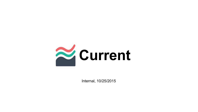

Internal, 10/25/2015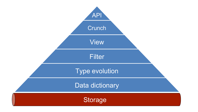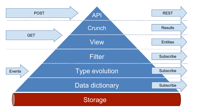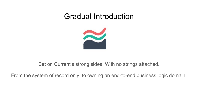#### Gradual Introduction



Bet on Current's strong sides. With no strings attached.

From the system of record only, to owning an end-to-end business logic domain.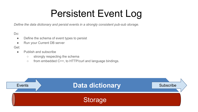## Persistent Event Log

*Define the data dictionary and persist events in a strongly consistent pub-sub storage.*

Do:

- Define the schema of event types to persist
- Run your Current DB server

Get:

- Publish and subscribe
	- strongly respecting the schema
	- from embedded C++, to HTTP/curl and language bindings.

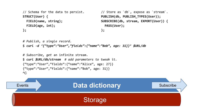```
// Schema for the data to persist.
STRUCT(User) {
   FIELD(name, string);
   FIELD(age, int);
};
                                            // Store as `db`, expose as `stream`.
                                            PUBLISH(db, PUBLISH_TYPES(User));
                                            SUBSCRIBE(db, stream, EXPORT(User)) {
                                               PASS(User);
                                            };
```
*# Publish, a single record.* \$ *curl -d '{"type":"User","fields":{"name":"Bob", age: 31}}' \$URL/db*

```
# Subscribe, get an infinite stream.
$ curl $URL/db/stream # add parameters to tweak it.
{"type":"User","fields":{"name":"Alice", age: 27}}
{"type":"User","fields":{"name":"Bob", age: 31}}
AC
```
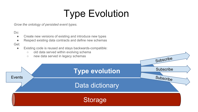# Type Evolution

*Grow the ontology of persisted event types.*

Do:

- Create new versions of existing and introduce new types
- Respect existing data contracts and define new schemas

Get:

- Existing code is reused and stays backwards-compatible:
	- old data served within evolving schema
	- new data served in legacy schemas

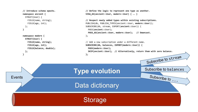```
Type evolution
                                                Data dictionary
                                                                                                     Subscribe to balances
                                                      Storage
                                                                                                        Subscribe to ...
                                                                                                     Subscribe to stream
Events
        // Introduce schema epochs.
        namespace ancient {
           STRUCT(User) {
             FIELD(name, string);
             FIELD(age, int);
           };
        }
        namespace modern {
           STRUCT(User) {
             FIELD(name, string);
             FIELD(age, int);
             FIELD(balance, double);
           };
        }
                                                        // Define the logic to represent one type as another.
                                                        VIEW_AS(ancient::User, modern::User) { … }
                                                        // Respect newly added types within existing subscriptions.
                                                        PUBLISH(db, PUBLISH_TYPES(ancient::User, modern::User));
                                                        SUBSCRIBE(db, stream, EXPORT(ancient::User)) {
                                                           PASS(ancient::User);
                                                           PASS_AS(ancient::User, modern::User); // Downcast.
                                                        };
                                                        // Add a new subscription under a different name.
                                                        SUBSCRIBE(db, balances, EXPORT(modern::User)) {
                                                           PASS(modern::User);
                                                           SKIP(ancient::User); // Alternatively, return them with zero balance.
                                                        };
```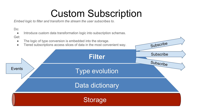## Custom Subscription

*Embed logic to filter and transform the stream the user subscribes to.*

Do:

● Introduce custom data transformation logic into subscription schemas.

![](_page_8_Figure_4.jpeg)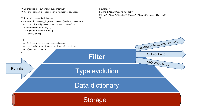![](_page_9_Figure_0.jpeg)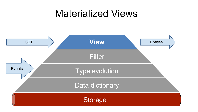#### Materialized Views

![](_page_10_Figure_1.jpeg)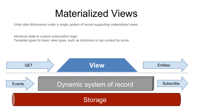### Materialized Views

*Unite data dictionaries under a single system of record supporting materialized views.*

Introduce state to custom subscription logic.

Template types for basic view types, such as dictionary or top content by score.

![](_page_11_Figure_4.jpeg)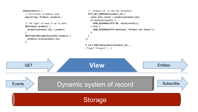```
VIEW(products) {
   // Persistent in-memory view.
   map<string, Product> products;
   // The logic to keep it up to date.
   ON(Product product) {
     products[product.id] = product;
 }
   ON(ProductNoLongerAvailable product) {
     products.erase(product.id);
   }
                                                         // `product_id` is the URL parameter.
                                                         HTTP_GET_ENDPOINT(product_id) {
                                                           const auto result = products[product_id];
                                                           if (Exists(result)) {
                                                             SEND_RESPONSE(HTTP.OK, Value(result));
                                                           } else {
                                                             SEND_RESPONSE(HTTP.NotFound, "Product not found.");
                                                           }
                                                       }
                                                      };
                                                      $ curl $URL/db/products?product_id=...
                                                      {"type":"Product",...}
```
![](_page_12_Figure_1.jpeg)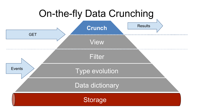![](_page_13_Figure_0.jpeg)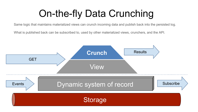# On-the-fly Data Crunching

Same logic that maintains materialized views can crunch incoming data and publish back into the persisted log.

What is published back can be subscribed to, used by other materialized views, crunchers, and the API.

![](_page_14_Figure_3.jpeg)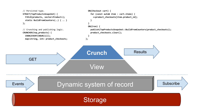![](_page_15_Figure_0.jpeg)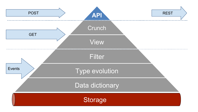![](_page_16_Figure_0.jpeg)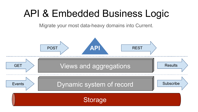## API & Embedded Business Logic

Migrate your most data-heavy domains into Current.

![](_page_17_Figure_2.jpeg)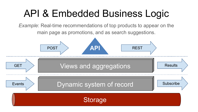# API & Embedded Business Logic

*Example*: Real-time recommendations of top products to appear on the main page as promotions, and as search suggestions.

![](_page_18_Figure_2.jpeg)